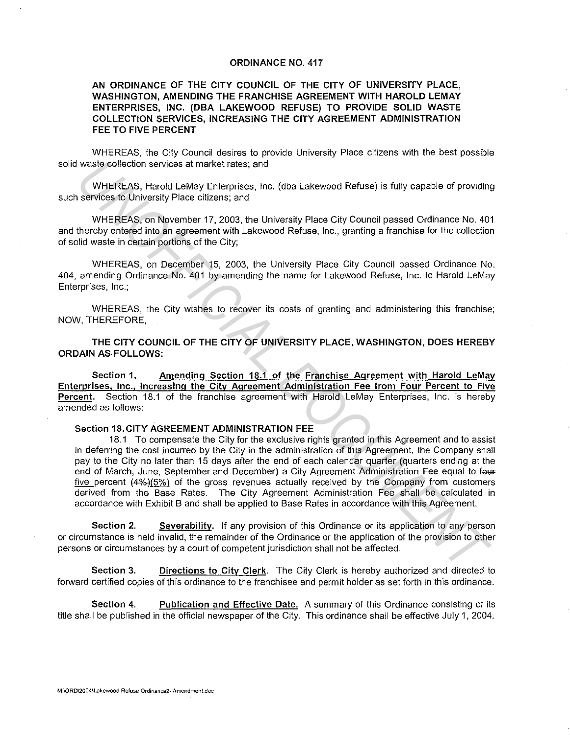## ORDINANCE NO. 417

## AN ORDINANCE OF THE CITY COUNCIL OF THE CITY OF UNIVERSITY PLACE, WASHINGTON, AMENDING THE FRANCHISE AGREEMENT WITH HAROLD LEMAY ENTERPRISES, INC. (DBA LAKEWOOD REFUSE) TO PROVIDE SOLID WASTE COLLECTION SERVICES, INCREASING THE CITY AGREEMENT ADMINISTRATION FEE TO FIVE PERCENT

WHEREAS, the City Council desires to provide University Place citizens with the best possible solid waste collection services at market rates; and

WHEREAS, Harold LeMay Enterprises, Inc. (dba Lakewood Refuse) is fully capable of providing such services to University Place citizens; and

WHEREAS, on November 17, 2003, the University Place City Council passed Ordinance No. 401 and thereby entered into an agreement with Lakewood Refuse, Inc., granting a franchise for the collection of solid waste in certain portions of the City;

WHEREAS, on December 15, 2003, the University Place City Council passed Ordinance No. 404, amending Ordinance No. 401 by amending the name for Lakewood Refuse, Inc. to Harold LeMay Enterprises, Inc.;

WHEREAS, the City wishes to recover its costs of granting and administering this franchise; NOW, THEREFORE,

THE CITY COUNCIL OF THE CITY OF UNIVERSITY PLACE, WASHINGTON, DOES HEREBY ORDAIN AS FOLLOWS:

Section 1. Amending Section 18.1 of the Franchise Agreement with Harold LeMay Enterprises, Inc., Increasing the City Agreement Administration Fee from Four Percent to Five Percent. Section 18.1 of the franchise agreement with Harold LeMay Enterprises, Inc. is hereby amended as follows:

## Section 18.CITY AGREEMENT ADMINISTRATION FEE

18.1 To compensate the City for the exclusive rights granted in this Agreement and to assist in deferring the cost incurred by the City in the administration of this Agreement, the Company shall pay to the City no later than 15 days after the end of each calendar quarter (quarters ending at the end of March, June, September and December) a City Agreement Administration Fee equal to four five percent  $(4\%)$ (5%) of the gross revenues actually received by the Company from customers derived from the Base Rates. The City Agreement Administration Fee shall be calculated in accordance with Exhibit B and shall be applied to Base Rates in accordance with this Agreement. waste collection services at market rates; and<br>
WHEREAS, Harold LoMay Enferreises, Inc. (dba Lakewood Refuse) is fully capable of providing<br>
services to University Place citizens; and<br>
WHEREAS, on November 17, 2003, the Un

Section 2. Severability. If any provision of this Ordinance or its application to any person or circumstance is held invalid, the remainder of the Ordinance or the application of the provision to other persons or circumstances by a court of competent jurisdiction shall not be affected.

Section 3. Directions to City Clerk. The City Clerk is hereby authorized and directed to forward certified copies of this ordinance to the franchisee and permit holder as set forth in this ordinance.

Section 4. Publication and Effective Date. A summary of this Ordinance consisting of its title shall be published in the official newspaper of the City. This ordinance shall be effective July 1, 2004.